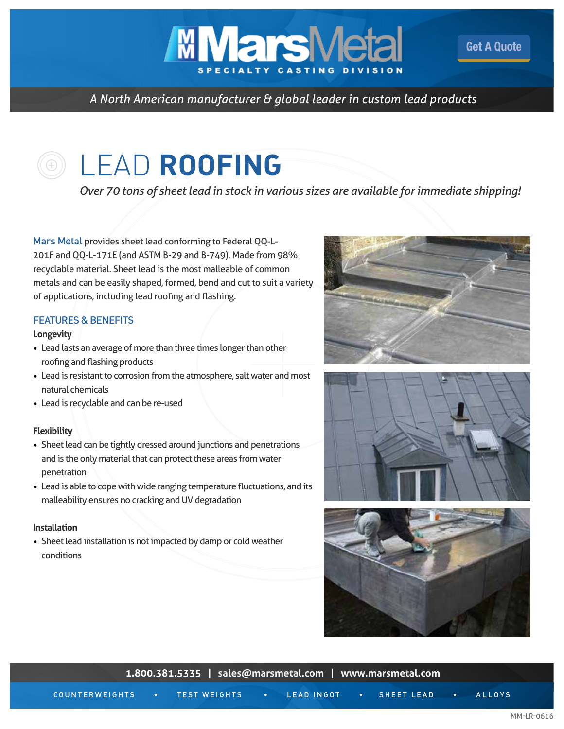**MMars**M

*A North American manufacturer & global leader in custom lead products*

# LEAD **ROOFING**

*Over 70 tons of sheet lead in stock in various sizes are available for immediate shipping!*

Mars Metal provides sheet lead conforming to Federal QQ-L-201F and QQ-L-171E (and ASTM B-29 and B-749). Made from 98% recyclable material. Sheet lead is the most malleable of common metals and can be easily shaped, formed, bend and cut to suit a variety of applications, including lead roofing and flashing.

## FEATURES & BENEFITS

#### **Longevity**

- Lead lasts an average of more than three times longer than other roofing and flashing products
- Lead is resistant to corrosion from the atmosphere, salt water and most natural chemicals
- Lead is recyclable and can be re-used

#### **Flexibility**

- Sheet lead can be tightly dressed around junctions and penetrations and is the only material that can protect these areas from water penetration
- Lead is able to cope with wide ranging temperature fluctuations, and its malleability ensures no cracking and UV degradation

#### I**nstallation**

• Sheet lead installation is not impacted by damp or cold weather conditions



[Get A Quote](http://marsmetal.com/contact-us/request-a-quote/)





| <b>I.OUU.SOL.SOL. PRIESE IIIELINGI IIIELINGI IIIELINGI IIIELING.UUII</b> |  |                     |                                                                                                                       |            |   |            |  |               |  |  |  |
|--------------------------------------------------------------------------|--|---------------------|-----------------------------------------------------------------------------------------------------------------------|------------|---|------------|--|---------------|--|--|--|
| COUNTERWEIGHTS                                                           |  | <b>TEST WEIGHTS</b> | <u> Andrew Maria a Component de la Partie de la Parisa de la Partie de la Parisa de la Parisa de la Parisa de la </u> | LEAD INGOT | . | SHEET LEAD |  | <b>ALLOYS</b> |  |  |  |

**1.800.381.5335 | [sales@marsmetal.com](http://marsmetal.com/marsmetal-email/) | [www.marsmetal.com](http://www.marsmetal.com)**